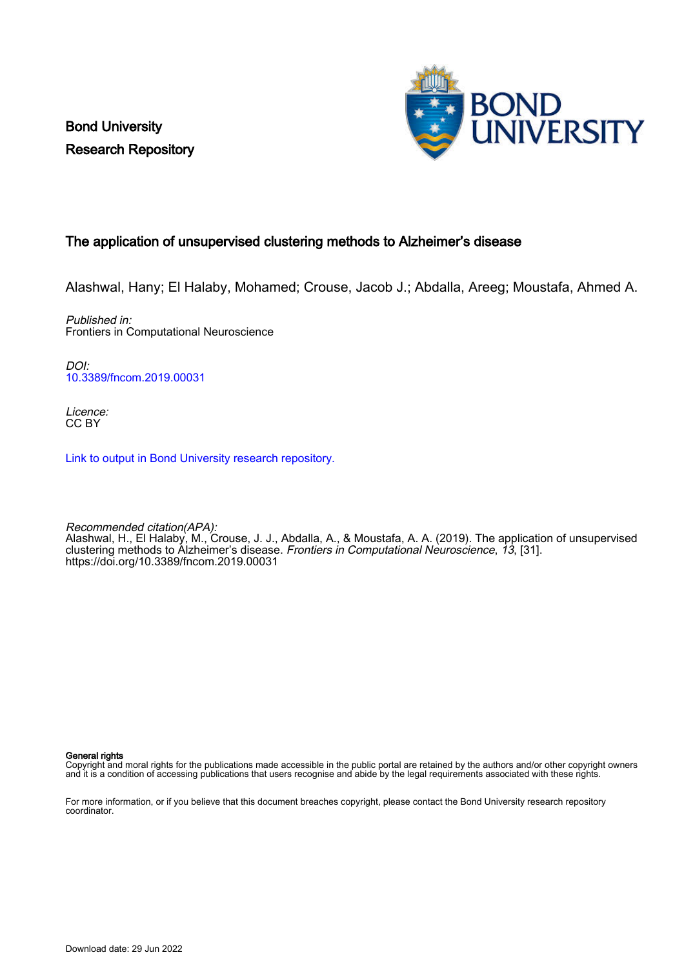Bond University Research Repository



## The application of unsupervised clustering methods to Alzheimer's disease

Alashwal, Hany; El Halaby, Mohamed; Crouse, Jacob J.; Abdalla, Areeg; Moustafa, Ahmed A.

Published in: Frontiers in Computational Neuroscience

DOI: [10.3389/fncom.2019.00031](https://doi.org/10.3389/fncom.2019.00031)

Licence: CC BY

[Link to output in Bond University research repository.](https://research.bond.edu.au/en/publications/4826bae6-51af-42bf-9037-d9d5d6d88687)

Recommended citation(APA): Alashwal, H., El Halaby, M., Crouse, J. J., Abdalla, A., & Moustafa, A. A. (2019). The application of unsupervised clustering methods to Alzheimer's disease. *Frontiers in Computational Neuroscience, 13*, [31]. <https://doi.org/10.3389/fncom.2019.00031>

General rights

Copyright and moral rights for the publications made accessible in the public portal are retained by the authors and/or other copyright owners and it is a condition of accessing publications that users recognise and abide by the legal requirements associated with these rights.

For more information, or if you believe that this document breaches copyright, please contact the Bond University research repository coordinator.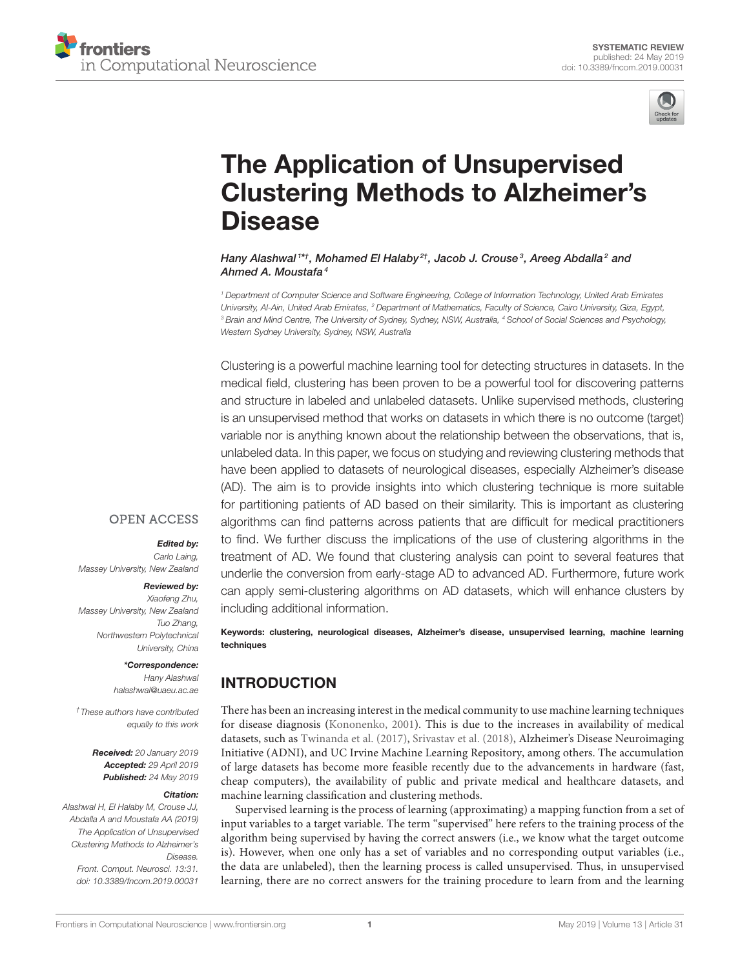

# The Application of Unsupervised [Clustering Methods to Alzheimer's](https://www.frontiersin.org/articles/10.3389/fncom.2019.00031/full) Disease

[Hany Alashwal](http://loop.frontiersin.org/people/594020/overview) <sup>1\*†</sup>, Mohamed El Halaby <sup>2†</sup>, [Jacob J. Crouse](http://loop.frontiersin.org/people/702104/overview)<sup>3</sup>, Areeg Abdalla 2and [Ahmed A. Moustafa](http://loop.frontiersin.org/people/15417/overview)<sup>4</sup>

*<sup>1</sup> Department of Computer Science and Software Engineering, College of Information Technology, United Arab Emirates University, Al-Ain, United Arab Emirates, <sup>2</sup> Department of Mathematics, Faculty of Science, Cairo University, Giza, Egypt, <sup>3</sup> Brain and Mind Centre, The University of Sydney, Sydney, NSW, Australia, <sup>4</sup> School of Social Sciences and Psychology, Western Sydney University, Sydney, NSW, Australia*

Clustering is a powerful machine learning tool for detecting structures in datasets. In the medical field, clustering has been proven to be a powerful tool for discovering patterns and structure in labeled and unlabeled datasets. Unlike supervised methods, clustering is an unsupervised method that works on datasets in which there is no outcome (target) variable nor is anything known about the relationship between the observations, that is, unlabeled data. In this paper, we focus on studying and reviewing clustering methods that have been applied to datasets of neurological diseases, especially Alzheimer's disease (AD). The aim is to provide insights into which clustering technique is more suitable for partitioning patients of AD based on their similarity. This is important as clustering algorithms can find patterns across patients that are difficult for medical practitioners to find. We further discuss the implications of the use of clustering algorithms in the treatment of AD. We found that clustering analysis can point to several features that underlie the conversion from early-stage AD to advanced AD. Furthermore, future work can apply semi-clustering algorithms on AD datasets, which will enhance clusters by including additional information.

## **OPEN ACCESS**

#### Edited by:

*Carlo Laing, Massey University, New Zealand*

#### Reviewed by:

*Xiaofeng Zhu, Massey University, New Zealand Tuo Zhang, Northwestern Polytechnical University, China*

> \*Correspondence: *Hany Alashwal [halashwal@uaeu.ac.ae](mailto:halashwal@uaeu.ac.ae)*

*†These authors have contributed equally to this work*

> Received: *20 January 2019* Accepted: *29 April 2019* Published: *24 May 2019*

#### Citation:

*Alashwal H, El Halaby M, Crouse JJ, Abdalla A and Moustafa AA (2019) The Application of Unsupervised Clustering Methods to Alzheimer's Disease. Front. Comput. Neurosci. 13:31. doi: [10.3389/fncom.2019.00031](https://doi.org/10.3389/fncom.2019.00031)* Keywords: clustering, neurological diseases, Alzheimer's disease, unsupervised learning, machine learning techniques

## INTRODUCTION

There has been an increasing interest in the medical community to use machine learning techniques for disease diagnosis [\(Kononenko, 2001\)](#page-8-0). This is due to the increases in availability of medical datasets, such as [Twinanda et al. \(2017\)](#page-9-0), [Srivastav et al. \(2018\)](#page-9-1), Alzheimer's Disease Neuroimaging Initiative (ADNI), and UC Irvine Machine Learning Repository, among others. The accumulation of large datasets has become more feasible recently due to the advancements in hardware (fast, cheap computers), the availability of public and private medical and healthcare datasets, and machine learning classification and clustering methods.

Supervised learning is the process of learning (approximating) a mapping function from a set of input variables to a target variable. The term "supervised" here refers to the training process of the algorithm being supervised by having the correct answers (i.e., we know what the target outcome is). However, when one only has a set of variables and no corresponding output variables (i.e., the data are unlabeled), then the learning process is called unsupervised. Thus, in unsupervised learning, there are no correct answers for the training procedure to learn from and the learning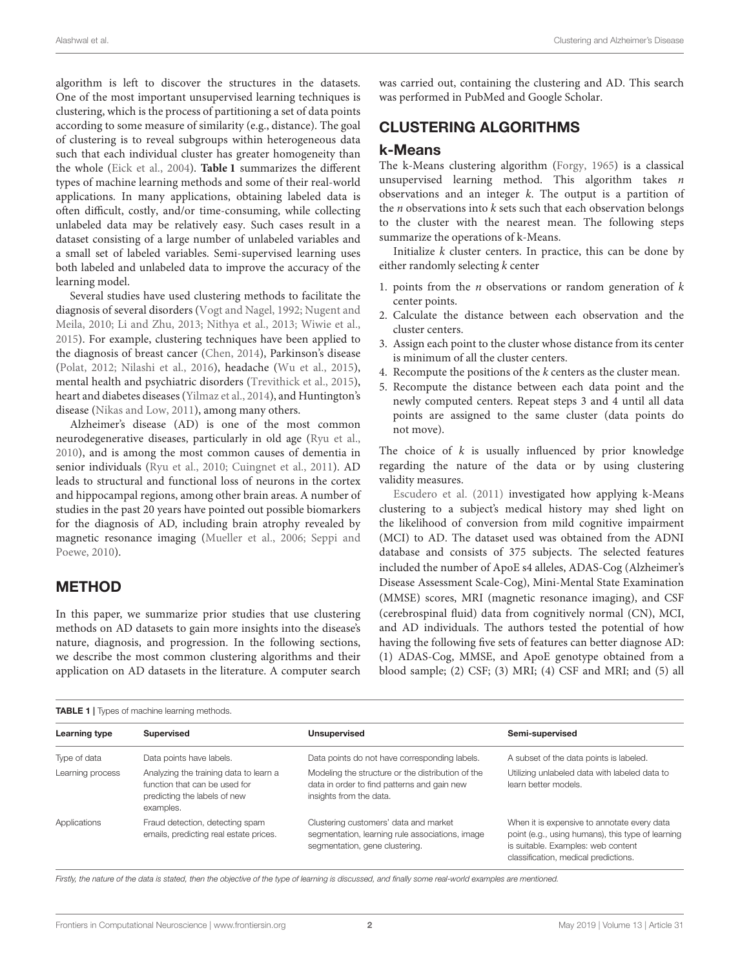algorithm is left to discover the structures in the datasets. One of the most important unsupervised learning techniques is clustering, which is the process of partitioning a set of data points according to some measure of similarity (e.g., distance). The goal of clustering is to reveal subgroups within heterogeneous data such that each individual cluster has greater homogeneity than the whole [\(Eick et al., 2004\)](#page-8-1). **[Table 1](#page-2-0)** summarizes the different types of machine learning methods and some of their real-world applications. In many applications, obtaining labeled data is often difficult, costly, and/or time-consuming, while collecting unlabeled data may be relatively easy. Such cases result in a dataset consisting of a large number of unlabeled variables and a small set of labeled variables. Semi-supervised learning uses both labeled and unlabeled data to improve the accuracy of the learning model.

Several studies have used clustering methods to facilitate the diagnosis of several disorders [\(Vogt and Nagel, 1992;](#page-9-2) Nugent and Meila, [2010;](#page-9-3) [Li and Zhu, 2013;](#page-8-2) [Nithya et al., 2013;](#page-9-4) [Wiwie et al.,](#page-9-5) [2015\)](#page-9-5). For example, clustering techniques have been applied to the diagnosis of breast cancer [\(Chen, 2014\)](#page-8-3), Parkinson's disease [\(Polat, 2012;](#page-9-6) [Nilashi et al., 2016\)](#page-9-7), headache [\(Wu et al., 2015\)](#page-9-8), mental health and psychiatric disorders [\(Trevithick et al., 2015\)](#page-9-9), heart and diabetes diseases [\(Yilmaz et al., 2014\)](#page-9-10), and Huntington's disease [\(Nikas and Low, 2011\)](#page-9-11), among many others.

Alzheimer's disease (AD) is one of the most common neurodegenerative diseases, particularly in old age [\(Ryu et al.,](#page-9-12) [2010\)](#page-9-12), and is among the most common causes of dementia in senior individuals [\(Ryu et al., 2010;](#page-9-12) [Cuingnet et al., 2011\)](#page-8-4). AD leads to structural and functional loss of neurons in the cortex and hippocampal regions, among other brain areas. A number of studies in the past 20 years have pointed out possible biomarkers for the diagnosis of AD, including brain atrophy revealed by magnetic resonance imaging [\(Mueller et al., 2006;](#page-9-13) Seppi and Poewe, [2010\)](#page-9-14).

## METHOD

In this paper, we summarize prior studies that use clustering methods on AD datasets to gain more insights into the disease's nature, diagnosis, and progression. In the following sections, we describe the most common clustering algorithms and their application on AD datasets in the literature. A computer search was carried out, containing the clustering and AD. This search was performed in PubMed and Google Scholar.

## CLUSTERING ALGORITHMS

#### k-Means

The k-Means clustering algorithm [\(Forgy, 1965\)](#page-8-5) is a classical unsupervised learning method. This algorithm takes  $n$ observations and an integer  $k$ . The output is a partition of the  $n$  observations into  $k$  sets such that each observation belongs to the cluster with the nearest mean. The following steps summarize the operations of k-Means.

Initialize  $k$  cluster centers. In practice, this can be done by either randomly selecting k center

- 1. points from the *n* observations or random generation of  $k$ center points.
- 2. Calculate the distance between each observation and the cluster centers.
- 3. Assign each point to the cluster whose distance from its center is minimum of all the cluster centers.
- 4. Recompute the positions of the k centers as the cluster mean.
- 5. Recompute the distance between each data point and the newly computed centers. Repeat steps 3 and 4 until all data points are assigned to the same cluster (data points do not move).

The choice of  $k$  is usually influenced by prior knowledge regarding the nature of the data or by using clustering validity measures.

[Escudero et al. \(2011\)](#page-8-6) investigated how applying k-Means clustering to a subject's medical history may shed light on the likelihood of conversion from mild cognitive impairment (MCI) to AD. The dataset used was obtained from the ADNI database and consists of 375 subjects. The selected features included the number of ApoE s4 alleles, ADAS-Cog (Alzheimer's Disease Assessment Scale-Cog), Mini-Mental State Examination (MMSE) scores, MRI (magnetic resonance imaging), and CSF (cerebrospinal fluid) data from cognitively normal (CN), MCI, and AD individuals. The authors tested the potential of how having the following five sets of features can better diagnose AD: (1) ADAS-Cog, MMSE, and ApoE genotype obtained from a blood sample; (2) CSF; (3) MRI; (4) CSF and MRI; and (5) all

<span id="page-2-0"></span>

| <b>TABLE 1</b>   Types of machine learning methods. |                                                                                                                      |                                                                                                                             |                                                                                                                                                                                |
|-----------------------------------------------------|----------------------------------------------------------------------------------------------------------------------|-----------------------------------------------------------------------------------------------------------------------------|--------------------------------------------------------------------------------------------------------------------------------------------------------------------------------|
| Learning type                                       | <b>Supervised</b>                                                                                                    | <b>Unsupervised</b>                                                                                                         | Semi-supervised                                                                                                                                                                |
| Type of data                                        | Data points have labels.                                                                                             | Data points do not have corresponding labels.                                                                               | A subset of the data points is labeled.                                                                                                                                        |
| Learning process                                    | Analyzing the training data to learn a<br>function that can be used for<br>predicting the labels of new<br>examples. | Modeling the structure or the distribution of the<br>data in order to find patterns and gain new<br>insights from the data. | Utilizing unlabeled data with labeled data to<br>learn better models.                                                                                                          |
| Applications                                        | Fraud detection, detecting spam<br>emails, predicting real estate prices.                                            | Clustering customers' data and market<br>segmentation, learning rule associations, image<br>segmentation, gene clustering.  | When it is expensive to annotate every data<br>point (e.g., using humans), this type of learning<br>is suitable. Examples: web content<br>classification, medical predictions. |

*Firstly, the nature of the data is stated, then the objective of the type of learning is discussed, and finally some real-world examples are mentioned.*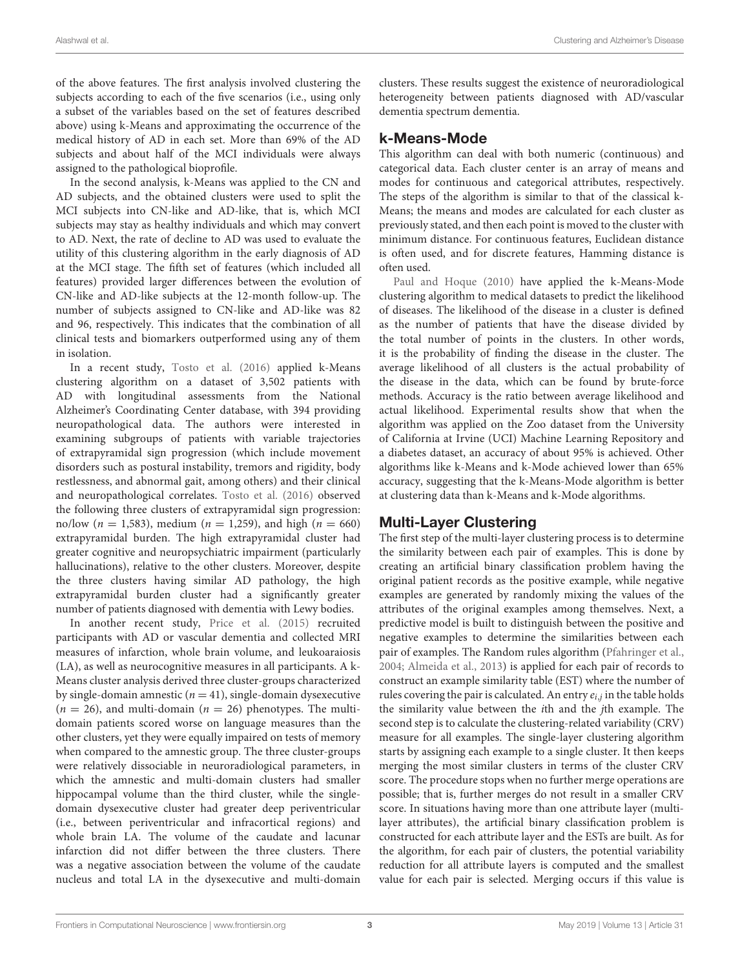of the above features. The first analysis involved clustering the subjects according to each of the five scenarios (i.e., using only a subset of the variables based on the set of features described above) using k-Means and approximating the occurrence of the medical history of AD in each set. More than 69% of the AD subjects and about half of the MCI individuals were always assigned to the pathological bioprofile.

In the second analysis, k-Means was applied to the CN and AD subjects, and the obtained clusters were used to split the MCI subjects into CN-like and AD-like, that is, which MCI subjects may stay as healthy individuals and which may convert to AD. Next, the rate of decline to AD was used to evaluate the utility of this clustering algorithm in the early diagnosis of AD at the MCI stage. The fifth set of features (which included all features) provided larger differences between the evolution of CN-like and AD-like subjects at the 12-month follow-up. The number of subjects assigned to CN-like and AD-like was 82 and 96, respectively. This indicates that the combination of all clinical tests and biomarkers outperformed using any of them in isolation.

In a recent study, [Tosto et al. \(2016\)](#page-9-15) applied k-Means clustering algorithm on a dataset of 3,502 patients with AD with longitudinal assessments from the National Alzheimer's Coordinating Center database, with 394 providing neuropathological data. The authors were interested in examining subgroups of patients with variable trajectories of extrapyramidal sign progression (which include movement disorders such as postural instability, tremors and rigidity, body restlessness, and abnormal gait, among others) and their clinical and neuropathological correlates. [Tosto et al. \(2016\)](#page-9-15) observed the following three clusters of extrapyramidal sign progression: no/low ( $n = 1,583$ ), medium ( $n = 1,259$ ), and high ( $n = 660$ ) extrapyramidal burden. The high extrapyramidal cluster had greater cognitive and neuropsychiatric impairment (particularly hallucinations), relative to the other clusters. Moreover, despite the three clusters having similar AD pathology, the high extrapyramidal burden cluster had a significantly greater number of patients diagnosed with dementia with Lewy bodies.

In another recent study, [Price et al. \(2015\)](#page-9-16) recruited participants with AD or vascular dementia and collected MRI measures of infarction, whole brain volume, and leukoaraiosis (LA), as well as neurocognitive measures in all participants. A k-Means cluster analysis derived three cluster-groups characterized by single-domain amnestic ( $n = 41$ ), single-domain dysexecutive  $(n = 26)$ , and multi-domain  $(n = 26)$  phenotypes. The multidomain patients scored worse on language measures than the other clusters, yet they were equally impaired on tests of memory when compared to the amnestic group. The three cluster-groups were relatively dissociable in neuroradiological parameters, in which the amnestic and multi-domain clusters had smaller hippocampal volume than the third cluster, while the singledomain dysexecutive cluster had greater deep periventricular (i.e., between periventricular and infracortical regions) and whole brain LA. The volume of the caudate and lacunar infarction did not differ between the three clusters. There was a negative association between the volume of the caudate nucleus and total LA in the dysexecutive and multi-domain clusters. These results suggest the existence of neuroradiological heterogeneity between patients diagnosed with AD/vascular dementia spectrum dementia.

### k-Means-Mode

This algorithm can deal with both numeric (continuous) and categorical data. Each cluster center is an array of means and modes for continuous and categorical attributes, respectively. The steps of the algorithm is similar to that of the classical k-Means; the means and modes are calculated for each cluster as previously stated, and then each point is moved to the cluster with minimum distance. For continuous features, Euclidean distance is often used, and for discrete features, Hamming distance is often used.

[Paul and Hoque \(2010\)](#page-9-17) have applied the k-Means-Mode clustering algorithm to medical datasets to predict the likelihood of diseases. The likelihood of the disease in a cluster is defined as the number of patients that have the disease divided by the total number of points in the clusters. In other words, it is the probability of finding the disease in the cluster. The average likelihood of all clusters is the actual probability of the disease in the data, which can be found by brute-force methods. Accuracy is the ratio between average likelihood and actual likelihood. Experimental results show that when the algorithm was applied on the Zoo dataset from the University of California at Irvine (UCI) Machine Learning Repository and a diabetes dataset, an accuracy of about 95% is achieved. Other algorithms like k-Means and k-Mode achieved lower than 65% accuracy, suggesting that the k-Means-Mode algorithm is better at clustering data than k-Means and k-Mode algorithms.

## Multi-Layer Clustering

The first step of the multi-layer clustering process is to determine the similarity between each pair of examples. This is done by creating an artificial binary classification problem having the original patient records as the positive example, while negative examples are generated by randomly mixing the values of the attributes of the original examples among themselves. Next, a predictive model is built to distinguish between the positive and negative examples to determine the similarities between each pair of examples. The Random rules algorithm [\(Pfahringer et al.,](#page-9-18) [2004;](#page-9-18) [Almeida et al., 2013\)](#page-8-7) is applied for each pair of records to construct an example similarity table (EST) where the number of rules covering the pair is calculated. An entry  $e_{i,j}$  in the table holds the similarity value between the ith and the jth example. The second step is to calculate the clustering-related variability (CRV) measure for all examples. The single-layer clustering algorithm starts by assigning each example to a single cluster. It then keeps merging the most similar clusters in terms of the cluster CRV score. The procedure stops when no further merge operations are possible; that is, further merges do not result in a smaller CRV score. In situations having more than one attribute layer (multilayer attributes), the artificial binary classification problem is constructed for each attribute layer and the ESTs are built. As for the algorithm, for each pair of clusters, the potential variability reduction for all attribute layers is computed and the smallest value for each pair is selected. Merging occurs if this value is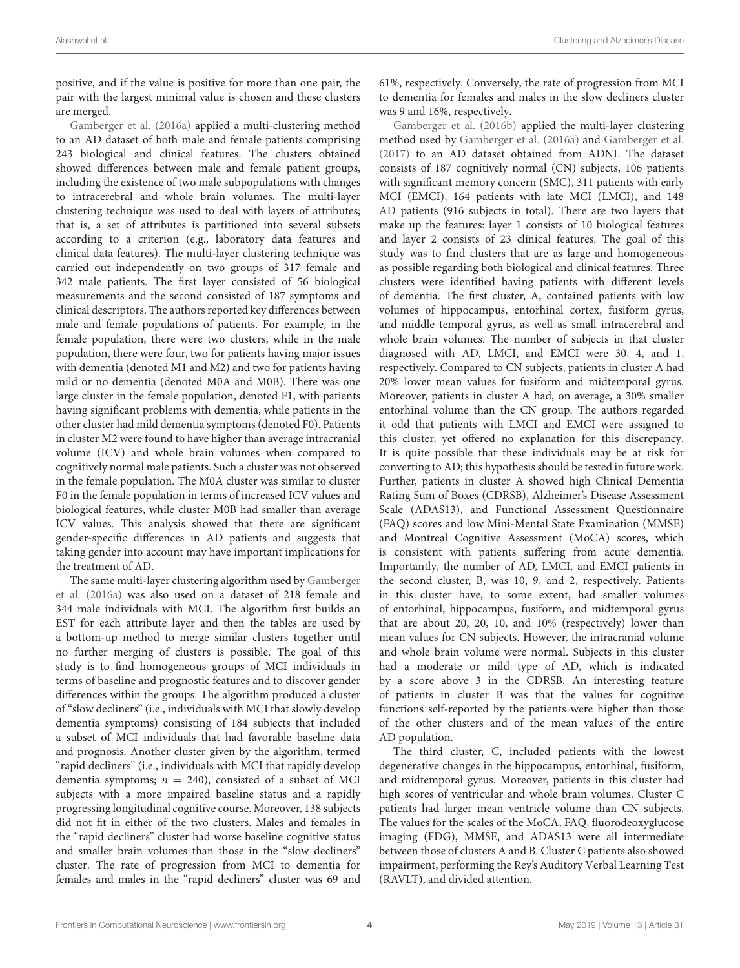positive, and if the value is positive for more than one pair, the pair with the largest minimal value is chosen and these clusters are merged.

[Gamberger et al. \(2016a\)](#page-8-8) applied a multi-clustering method to an AD dataset of both male and female patients comprising 243 biological and clinical features. The clusters obtained showed differences between male and female patient groups, including the existence of two male subpopulations with changes to intracerebral and whole brain volumes. The multi-layer clustering technique was used to deal with layers of attributes; that is, a set of attributes is partitioned into several subsets according to a criterion (e.g., laboratory data features and clinical data features). The multi-layer clustering technique was carried out independently on two groups of 317 female and 342 male patients. The first layer consisted of 56 biological measurements and the second consisted of 187 symptoms and clinical descriptors. The authors reported key differences between male and female populations of patients. For example, in the female population, there were two clusters, while in the male population, there were four, two for patients having major issues with dementia (denoted M1 and M2) and two for patients having mild or no dementia (denoted M0A and M0B). There was one large cluster in the female population, denoted F1, with patients having significant problems with dementia, while patients in the other cluster had mild dementia symptoms (denoted F0). Patients in cluster M2 were found to have higher than average intracranial volume (ICV) and whole brain volumes when compared to cognitively normal male patients. Such a cluster was not observed in the female population. The M0A cluster was similar to cluster F0 in the female population in terms of increased ICV values and biological features, while cluster M0B had smaller than average ICV values. This analysis showed that there are significant gender-specific differences in AD patients and suggests that taking gender into account may have important implications for the treatment of AD.

The same multi-layer clustering algorithm used by Gamberger et al. [\(2016a\)](#page-8-8) was also used on a dataset of 218 female and 344 male individuals with MCI. The algorithm first builds an EST for each attribute layer and then the tables are used by a bottom-up method to merge similar clusters together until no further merging of clusters is possible. The goal of this study is to find homogeneous groups of MCI individuals in terms of baseline and prognostic features and to discover gender differences within the groups. The algorithm produced a cluster of "slow decliners" (i.e., individuals with MCI that slowly develop dementia symptoms) consisting of 184 subjects that included a subset of MCI individuals that had favorable baseline data and prognosis. Another cluster given by the algorithm, termed "rapid decliners" (i.e., individuals with MCI that rapidly develop dementia symptoms;  $n = 240$ ), consisted of a subset of MCI subjects with a more impaired baseline status and a rapidly progressing longitudinal cognitive course. Moreover, 138 subjects did not fit in either of the two clusters. Males and females in the "rapid decliners" cluster had worse baseline cognitive status and smaller brain volumes than those in the "slow decliners" cluster. The rate of progression from MCI to dementia for females and males in the "rapid decliners" cluster was 69 and 61%, respectively. Conversely, the rate of progression from MCI to dementia for females and males in the slow decliners cluster was 9 and 16%, respectively.

[Gamberger et al. \(2016b\)](#page-8-9) applied the multi-layer clustering method used by [Gamberger et al. \(2016a\)](#page-8-8) and [Gamberger et al.](#page-8-10) [\(2017\)](#page-8-10) to an AD dataset obtained from ADNI. The dataset consists of 187 cognitively normal (CN) subjects, 106 patients with significant memory concern (SMC), 311 patients with early MCI (EMCI), 164 patients with late MCI (LMCI), and 148 AD patients (916 subjects in total). There are two layers that make up the features: layer 1 consists of 10 biological features and layer 2 consists of 23 clinical features. The goal of this study was to find clusters that are as large and homogeneous as possible regarding both biological and clinical features. Three clusters were identified having patients with different levels of dementia. The first cluster, A, contained patients with low volumes of hippocampus, entorhinal cortex, fusiform gyrus, and middle temporal gyrus, as well as small intracerebral and whole brain volumes. The number of subjects in that cluster diagnosed with AD, LMCI, and EMCI were 30, 4, and 1, respectively. Compared to CN subjects, patients in cluster A had 20% lower mean values for fusiform and midtemporal gyrus. Moreover, patients in cluster A had, on average, a 30% smaller entorhinal volume than the CN group. The authors regarded it odd that patients with LMCI and EMCI were assigned to this cluster, yet offered no explanation for this discrepancy. It is quite possible that these individuals may be at risk for converting to AD; this hypothesis should be tested in future work. Further, patients in cluster A showed high Clinical Dementia Rating Sum of Boxes (CDRSB), Alzheimer's Disease Assessment Scale (ADAS13), and Functional Assessment Questionnaire (FAQ) scores and low Mini-Mental State Examination (MMSE) and Montreal Cognitive Assessment (MoCA) scores, which is consistent with patients suffering from acute dementia. Importantly, the number of AD, LMCI, and EMCI patients in the second cluster, B, was 10, 9, and 2, respectively. Patients in this cluster have, to some extent, had smaller volumes of entorhinal, hippocampus, fusiform, and midtemporal gyrus that are about 20, 20, 10, and 10% (respectively) lower than mean values for CN subjects. However, the intracranial volume and whole brain volume were normal. Subjects in this cluster had a moderate or mild type of AD, which is indicated by a score above 3 in the CDRSB. An interesting feature of patients in cluster B was that the values for cognitive functions self-reported by the patients were higher than those of the other clusters and of the mean values of the entire AD population.

The third cluster, C, included patients with the lowest degenerative changes in the hippocampus, entorhinal, fusiform, and midtemporal gyrus. Moreover, patients in this cluster had high scores of ventricular and whole brain volumes. Cluster C patients had larger mean ventricle volume than CN subjects. The values for the scales of the MoCA, FAQ, fluorodeoxyglucose imaging (FDG), MMSE, and ADAS13 were all intermediate between those of clusters A and B. Cluster C patients also showed impairment, performing the Rey's Auditory Verbal Learning Test (RAVLT), and divided attention.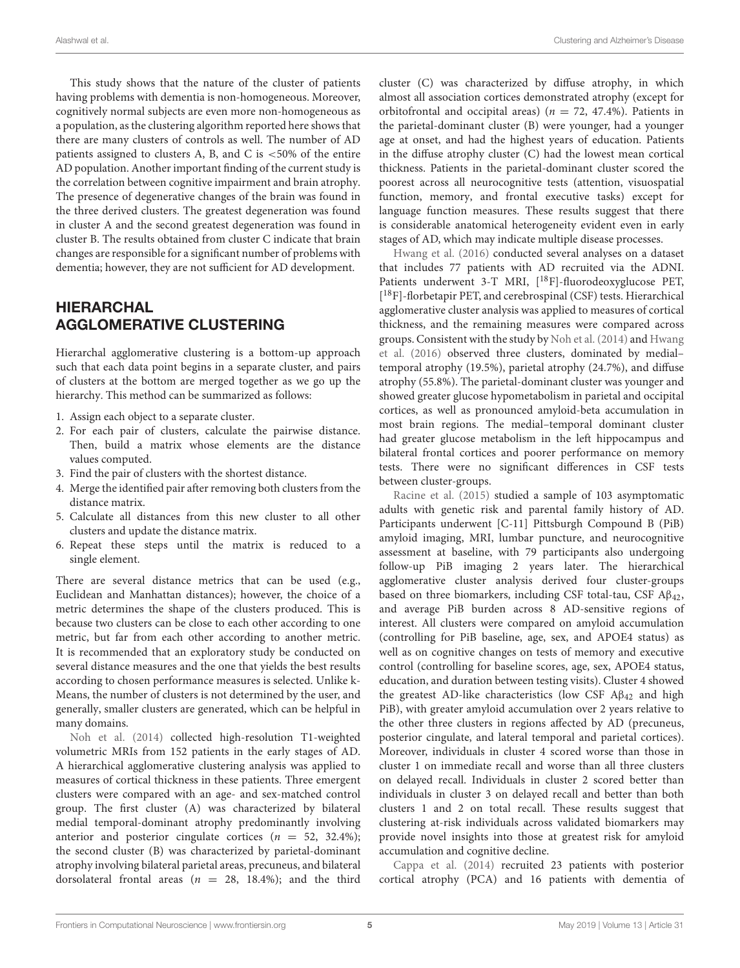This study shows that the nature of the cluster of patients having problems with dementia is non-homogeneous. Moreover, cognitively normal subjects are even more non-homogeneous as a population, as the clustering algorithm reported here shows that there are many clusters of controls as well. The number of AD patients assigned to clusters A, B, and C is  $<50\%$  of the entire AD population. Another important finding of the current study is the correlation between cognitive impairment and brain atrophy. The presence of degenerative changes of the brain was found in the three derived clusters. The greatest degeneration was found in cluster A and the second greatest degeneration was found in cluster B. The results obtained from cluster C indicate that brain changes are responsible for a significant number of problems with dementia; however, they are not sufficient for AD development.

## HIERARCHAL AGGLOMERATIVE CLUSTERING

Hierarchal agglomerative clustering is a bottom-up approach such that each data point begins in a separate cluster, and pairs of clusters at the bottom are merged together as we go up the hierarchy. This method can be summarized as follows:

- 1. Assign each object to a separate cluster.
- 2. For each pair of clusters, calculate the pairwise distance. Then, build a matrix whose elements are the distance values computed.
- 3. Find the pair of clusters with the shortest distance.
- 4. Merge the identified pair after removing both clusters from the distance matrix.
- 5. Calculate all distances from this new cluster to all other clusters and update the distance matrix.
- 6. Repeat these steps until the matrix is reduced to a single element.

There are several distance metrics that can be used (e.g., Euclidean and Manhattan distances); however, the choice of a metric determines the shape of the clusters produced. This is because two clusters can be close to each other according to one metric, but far from each other according to another metric. It is recommended that an exploratory study be conducted on several distance measures and the one that yields the best results according to chosen performance measures is selected. Unlike k-Means, the number of clusters is not determined by the user, and generally, smaller clusters are generated, which can be helpful in many domains.

[Noh et al. \(2014\)](#page-9-19) collected high-resolution T1-weighted volumetric MRIs from 152 patients in the early stages of AD. A hierarchical agglomerative clustering analysis was applied to measures of cortical thickness in these patients. Three emergent clusters were compared with an age- and sex-matched control group. The first cluster (A) was characterized by bilateral medial temporal-dominant atrophy predominantly involving anterior and posterior cingulate cortices  $(n = 52, 32.4\%);$ the second cluster (B) was characterized by parietal-dominant atrophy involving bilateral parietal areas, precuneus, and bilateral dorsolateral frontal areas ( $n = 28$ , 18.4%); and the third cluster (C) was characterized by diffuse atrophy, in which almost all association cortices demonstrated atrophy (except for orbitofrontal and occipital areas) ( $n = 72, 47.4%$ ). Patients in the parietal-dominant cluster (B) were younger, had a younger age at onset, and had the highest years of education. Patients in the diffuse atrophy cluster (C) had the lowest mean cortical thickness. Patients in the parietal-dominant cluster scored the poorest across all neurocognitive tests (attention, visuospatial function, memory, and frontal executive tasks) except for language function measures. These results suggest that there is considerable anatomical heterogeneity evident even in early stages of AD, which may indicate multiple disease processes.

[Hwang et al. \(2016\)](#page-8-11) conducted several analyses on a dataset that includes 77 patients with AD recruited via the ADNI. Patients underwent 3-T MRI, [<sup>18</sup>F]-fluorodeoxyglucose PET, [ <sup>18</sup>F]-florbetapir PET, and cerebrospinal (CSF) tests. Hierarchical agglomerative cluster analysis was applied to measures of cortical thickness, and the remaining measures were compared across groups. Consistent with the study by [Noh et al. \(2014\)](#page-9-19) and Hwang et al. [\(2016\)](#page-8-11) observed three clusters, dominated by medial– temporal atrophy (19.5%), parietal atrophy (24.7%), and diffuse atrophy (55.8%). The parietal-dominant cluster was younger and showed greater glucose hypometabolism in parietal and occipital cortices, as well as pronounced amyloid-beta accumulation in most brain regions. The medial–temporal dominant cluster had greater glucose metabolism in the left hippocampus and bilateral frontal cortices and poorer performance on memory tests. There were no significant differences in CSF tests between cluster-groups.

[Racine et al. \(2015\)](#page-9-20) studied a sample of 103 asymptomatic adults with genetic risk and parental family history of AD. Participants underwent [C-11] Pittsburgh Compound B (PiB) amyloid imaging, MRI, lumbar puncture, and neurocognitive assessment at baseline, with 79 participants also undergoing follow-up PiB imaging 2 years later. The hierarchical agglomerative cluster analysis derived four cluster-groups based on three biomarkers, including CSF total-tau, CSF  $A\beta_{42}$ , and average PiB burden across 8 AD-sensitive regions of interest. All clusters were compared on amyloid accumulation (controlling for PiB baseline, age, sex, and APOE4 status) as well as on cognitive changes on tests of memory and executive control (controlling for baseline scores, age, sex, APOE4 status, education, and duration between testing visits). Cluster 4 showed the greatest AD-like characteristics (low CSF  $A\beta_{42}$  and high PiB), with greater amyloid accumulation over 2 years relative to the other three clusters in regions affected by AD (precuneus, posterior cingulate, and lateral temporal and parietal cortices). Moreover, individuals in cluster 4 scored worse than those in cluster 1 on immediate recall and worse than all three clusters on delayed recall. Individuals in cluster 2 scored better than individuals in cluster 3 on delayed recall and better than both clusters 1 and 2 on total recall. These results suggest that clustering at-risk individuals across validated biomarkers may provide novel insights into those at greatest risk for amyloid accumulation and cognitive decline.

[Cappa et al. \(2014\)](#page-8-12) recruited 23 patients with posterior cortical atrophy (PCA) and 16 patients with dementia of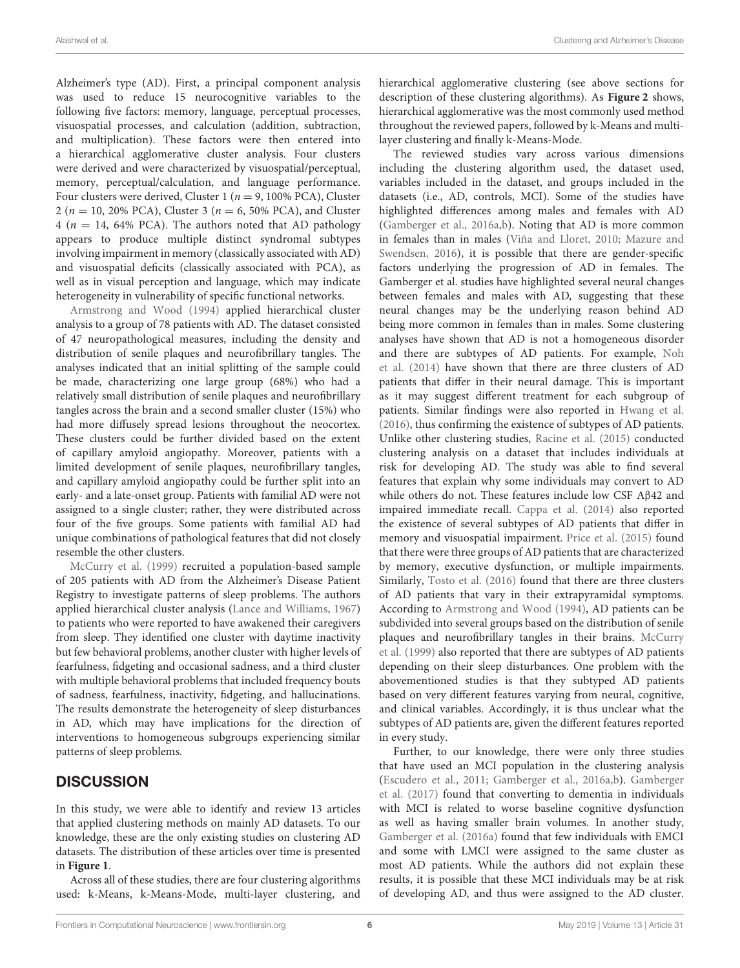Alzheimer's type (AD). First, a principal component analysis was used to reduce 15 neurocognitive variables to the following five factors: memory, language, perceptual processes, visuospatial processes, and calculation (addition, subtraction, and multiplication). These factors were then entered into a hierarchical agglomerative cluster analysis. Four clusters were derived and were characterized by visuospatial/perceptual, memory, perceptual/calculation, and language performance. Four clusters were derived, Cluster 1 ( $n = 9$ , 100% PCA), Cluster 2 ( $n = 10$ , 20% PCA), Cluster 3 ( $n = 6$ , 50% PCA), and Cluster 4 ( $n = 14$ , 64% PCA). The authors noted that AD pathology appears to produce multiple distinct syndromal subtypes involving impairment in memory (classically associated with AD) and visuospatial deficits (classically associated with PCA), as well as in visual perception and language, which may indicate heterogeneity in vulnerability of specific functional networks.

[Armstrong and Wood \(1994\)](#page-8-13) applied hierarchical cluster analysis to a group of 78 patients with AD. The dataset consisted of 47 neuropathological measures, including the density and distribution of senile plaques and neurofibrillary tangles. The analyses indicated that an initial splitting of the sample could be made, characterizing one large group (68%) who had a relatively small distribution of senile plaques and neurofibrillary tangles across the brain and a second smaller cluster (15%) who had more diffusely spread lesions throughout the neocortex. These clusters could be further divided based on the extent of capillary amyloid angiopathy. Moreover, patients with a limited development of senile plaques, neurofibrillary tangles, and capillary amyloid angiopathy could be further split into an early- and a late-onset group. Patients with familial AD were not assigned to a single cluster; rather, they were distributed across four of the five groups. Some patients with familial AD had unique combinations of pathological features that did not closely resemble the other clusters.

[McCurry et al. \(1999\)](#page-8-14) recruited a population-based sample of 205 patients with AD from the Alzheimer's Disease Patient Registry to investigate patterns of sleep problems. The authors applied hierarchical cluster analysis [\(Lance and Williams, 1967\)](#page-8-15) to patients who were reported to have awakened their caregivers from sleep. They identified one cluster with daytime inactivity but few behavioral problems, another cluster with higher levels of fearfulness, fidgeting and occasional sadness, and a third cluster with multiple behavioral problems that included frequency bouts of sadness, fearfulness, inactivity, fidgeting, and hallucinations. The results demonstrate the heterogeneity of sleep disturbances in AD, which may have implications for the direction of interventions to homogeneous subgroups experiencing similar patterns of sleep problems.

## **DISCUSSION**

In this study, we were able to identify and review 13 articles that applied clustering methods on mainly AD datasets. To our knowledge, these are the only existing studies on clustering AD datasets. The distribution of these articles over time is presented in **[Figure 1](#page-7-0)**.

Across all of these studies, there are four clustering algorithms used: k-Means, k-Means-Mode, multi-layer clustering, and hierarchical agglomerative clustering (see above sections for description of these clustering algorithms). As **[Figure 2](#page-7-1)** shows, hierarchical agglomerative was the most commonly used method throughout the reviewed papers, followed by k-Means and multilayer clustering and finally k-Means-Mode.

The reviewed studies vary across various dimensions including the clustering algorithm used, the dataset used, variables included in the dataset, and groups included in the datasets (i.e., AD, controls, MCI). Some of the studies have highlighted differences among males and females with AD [\(Gamberger et al., 2016a,](#page-8-8)[b\)](#page-8-9). Noting that AD is more common in females than in males [\(Viña and Lloret, 2010;](#page-9-21) Mazure and Swendsen, [2016\)](#page-8-16), it is possible that there are gender-specific factors underlying the progression of AD in females. The Gamberger et al. studies have highlighted several neural changes between females and males with AD, suggesting that these neural changes may be the underlying reason behind AD being more common in females than in males. Some clustering analyses have shown that AD is not a homogeneous disorder and there are subtypes of AD patients. For example, Noh et al. [\(2014\)](#page-9-19) have shown that there are three clusters of AD patients that differ in their neural damage. This is important as it may suggest different treatment for each subgroup of patients. Similar findings were also reported in [Hwang et al.](#page-8-11) [\(2016\)](#page-8-11), thus confirming the existence of subtypes of AD patients. Unlike other clustering studies, [Racine et al. \(2015\)](#page-9-20) conducted clustering analysis on a dataset that includes individuals at risk for developing AD. The study was able to find several features that explain why some individuals may convert to AD while others do not. These features include low CSF Aβ42 and impaired immediate recall. [Cappa et al. \(2014\)](#page-8-12) also reported the existence of several subtypes of AD patients that differ in memory and visuospatial impairment. [Price et al. \(2015\)](#page-9-16) found that there were three groups of AD patients that are characterized by memory, executive dysfunction, or multiple impairments. Similarly, [Tosto et al. \(2016\)](#page-9-15) found that there are three clusters of AD patients that vary in their extrapyramidal symptoms. According to [Armstrong and Wood \(1994\)](#page-8-13), AD patients can be subdivided into several groups based on the distribution of senile plaques and neurofibrillary tangles in their brains. McCurry et al. [\(1999\)](#page-8-14) also reported that there are subtypes of AD patients depending on their sleep disturbances. One problem with the abovementioned studies is that they subtyped AD patients based on very different features varying from neural, cognitive, and clinical variables. Accordingly, it is thus unclear what the subtypes of AD patients are, given the different features reported in every study.

Further, to our knowledge, there were only three studies that have used an MCI population in the clustering analysis [\(Escudero et al., 2011;](#page-8-6) [Gamberger et al., 2016a,](#page-8-8)[b\)](#page-8-9). Gamberger et al. [\(2017\)](#page-8-10) found that converting to dementia in individuals with MCI is related to worse baseline cognitive dysfunction as well as having smaller brain volumes. In another study, [Gamberger et al. \(2016a\)](#page-8-8) found that few individuals with EMCI and some with LMCI were assigned to the same cluster as most AD patients. While the authors did not explain these results, it is possible that these MCI individuals may be at risk of developing AD, and thus were assigned to the AD cluster.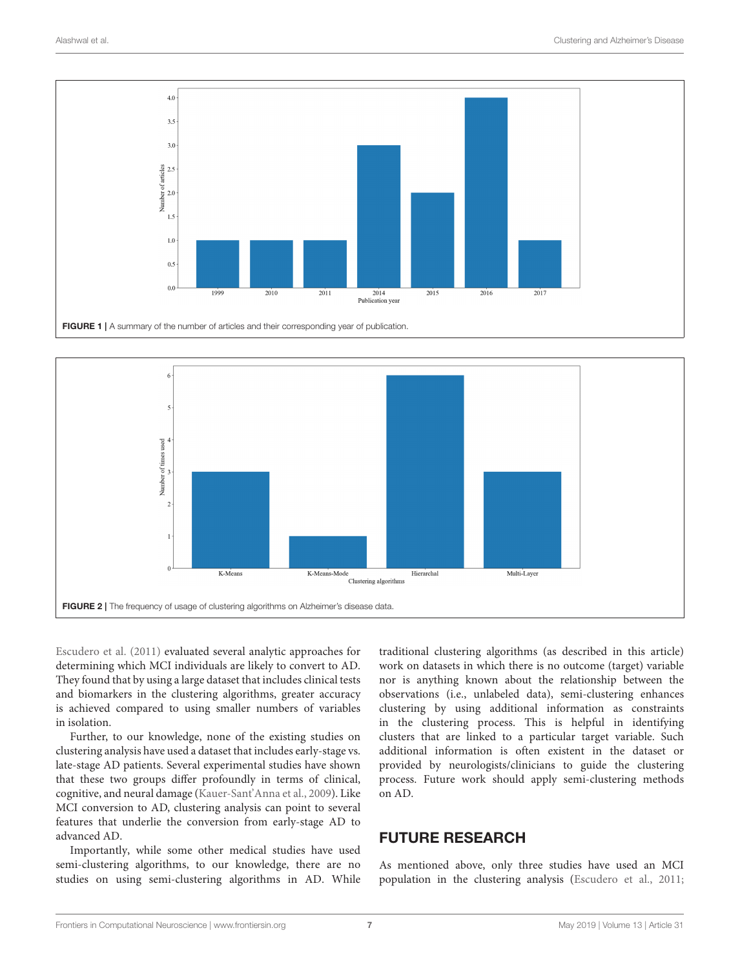

<span id="page-7-0"></span>

<span id="page-7-1"></span>[Escudero et al. \(2011\)](#page-8-6) evaluated several analytic approaches for determining which MCI individuals are likely to convert to AD. They found that by using a large dataset that includes clinical tests and biomarkers in the clustering algorithms, greater accuracy is achieved compared to using smaller numbers of variables in isolation.

Further, to our knowledge, none of the existing studies on clustering analysis have used a dataset that includes early-stage vs. late-stage AD patients. Several experimental studies have shown that these two groups differ profoundly in terms of clinical, cognitive, and neural damage [\(Kauer-Sant'Anna et al., 2009\)](#page-8-17). Like MCI conversion to AD, clustering analysis can point to several features that underlie the conversion from early-stage AD to advanced AD.

Importantly, while some other medical studies have used semi-clustering algorithms, to our knowledge, there are no studies on using semi-clustering algorithms in AD. While traditional clustering algorithms (as described in this article) work on datasets in which there is no outcome (target) variable nor is anything known about the relationship between the observations (i.e., unlabeled data), semi-clustering enhances clustering by using additional information as constraints in the clustering process. This is helpful in identifying clusters that are linked to a particular target variable. Such additional information is often existent in the dataset or provided by neurologists/clinicians to guide the clustering process. Future work should apply semi-clustering methods on AD.

## FUTURE RESEARCH

As mentioned above, only three studies have used an MCI population in the clustering analysis [\(Escudero et al., 2011;](#page-8-6)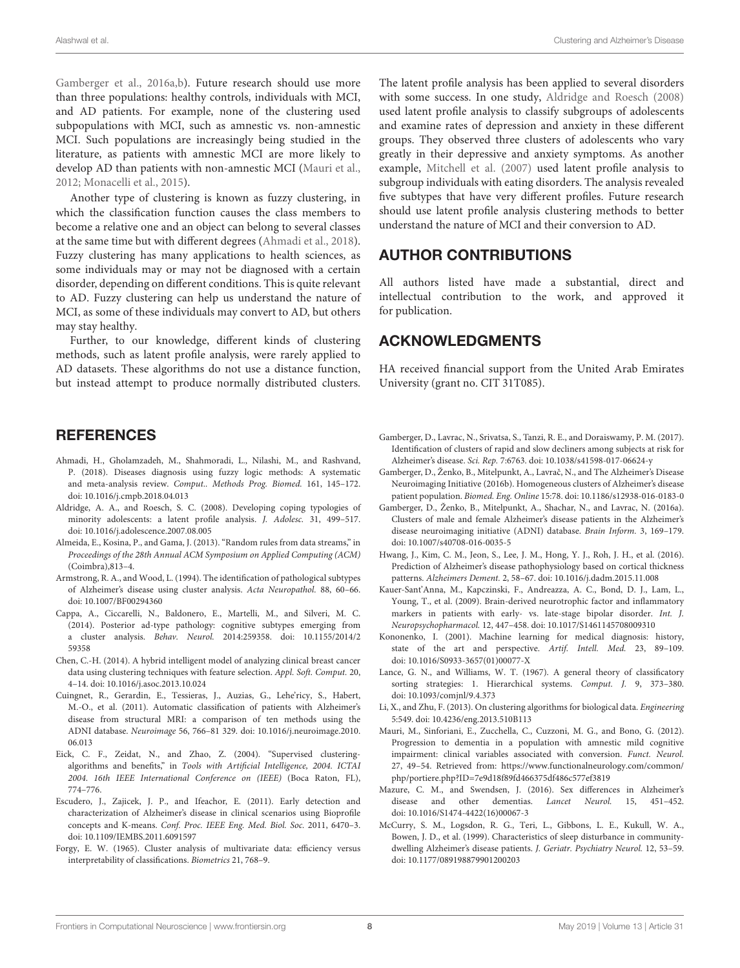[Gamberger et al., 2016a,](#page-8-8)[b\)](#page-8-9). Future research should use more than three populations: healthy controls, individuals with MCI, and AD patients. For example, none of the clustering used subpopulations with MCI, such as amnestic vs. non-amnestic MCI. Such populations are increasingly being studied in the literature, as patients with amnestic MCI are more likely to develop AD than patients with non-amnestic MCI [\(Mauri et al.,](#page-8-18) [2012;](#page-8-18) [Monacelli et al., 2015\)](#page-9-22).

Another type of clustering is known as fuzzy clustering, in which the classification function causes the class members to become a relative one and an object can belong to several classes at the same time but with different degrees [\(Ahmadi et al., 2018\)](#page-8-19). Fuzzy clustering has many applications to health sciences, as some individuals may or may not be diagnosed with a certain disorder, depending on different conditions. This is quite relevant to AD. Fuzzy clustering can help us understand the nature of MCI, as some of these individuals may convert to AD, but others may stay healthy.

Further, to our knowledge, different kinds of clustering methods, such as latent profile analysis, were rarely applied to AD datasets. These algorithms do not use a distance function, but instead attempt to produce normally distributed clusters.

## **REFERENCES**

- <span id="page-8-19"></span>Ahmadi, H., Gholamzadeh, M., Shahmoradi, L., Nilashi, M., and Rashvand, P. (2018). Diseases diagnosis using fuzzy logic methods: A systematic and meta-analysis review. Comput.. Methods Prog. Biomed. 161, 145–172. doi: [10.1016/j.cmpb.2018.04.013](https://doi.org/10.1016/j.cmpb.2018.04.013)
- <span id="page-8-20"></span>Aldridge, A. A., and Roesch, S. C. (2008). Developing coping typologies of minority adolescents: a latent profile analysis. J. Adolesc. 31, 499–517. doi: [10.1016/j.adolescence.2007.08.005](https://doi.org/10.1016/j.adolescence.2007.08.005)
- <span id="page-8-7"></span>Almeida, E., Kosina, P., and Gama, J. (2013). "Random rules from data streams," in Proceedings of the 28th Annual ACM Symposium on Applied Computing (ACM) (Coimbra),813–4.
- <span id="page-8-13"></span>Armstrong, R. A., and Wood, L. (1994). The identification of pathological subtypes of Alzheimer's disease using cluster analysis. Acta Neuropathol. 88, 60–66. doi: [10.1007/BF00294360](https://doi.org/10.1007/BF00294360)
- <span id="page-8-12"></span>Cappa, A., Ciccarelli, N., Baldonero, E., Martelli, M., and Silveri, M. C. (2014). Posterior ad-type pathology: cognitive subtypes emerging from a cluster analysis. Behav. Neurol. [2014:259358. doi: 10.1155/2014/2](https://doi.org/10.1155/2014/259358) 59358
- <span id="page-8-3"></span>Chen, C.-H. (2014). A hybrid intelligent model of analyzing clinical breast cancer data using clustering techniques with feature selection. Appl. Soft. Comput. 20, 4–14. doi: [10.1016/j.asoc.2013.10.024](https://doi.org/10.1016/j.asoc.2013.10.024)
- <span id="page-8-4"></span>Cuingnet, R., Gerardin, E., Tessieras, J., Auzias, G., Lehe'ricy, S., Habert, M.-O., et al. (2011). Automatic classification of patients with Alzheimer's disease from structural MRI: a comparison of ten methods using the ADNI database. Neuroimage [56, 766–81 329. doi: 10.1016/j.neuroimage.2010.](https://doi.org/10.1016/j.neuroimage.2010.06.013) 06.013
- <span id="page-8-1"></span>Eick, C. F., Zeidat, N., and Zhao, Z. (2004). "Supervised clusteringalgorithms and benefits," in Tools with Artificial Intelligence, 2004. ICTAI 2004. 16th IEEE International Conference on (IEEE) (Boca Raton, FL), 774–776.
- <span id="page-8-6"></span>Escudero, J., Zajicek, J. P., and Ifeachor, E. (2011). Early detection and characterization of Alzheimer's disease in clinical scenarios using Bioprofile concepts and K-means. Conf. Proc. IEEE Eng. Med. Biol. Soc. 2011, 6470–3. doi: [10.1109/IEMBS.2011.6091597](https://doi.org/10.1109/IEMBS.2011.6091597)
- <span id="page-8-5"></span>Forgy, E. W. (1965). Cluster analysis of multivariate data: efficiency versus interpretability of classifications. Biometrics 21, 768–9.

The latent profile analysis has been applied to several disorders with some success. In one study, [Aldridge and Roesch \(2008\)](#page-8-20) used latent profile analysis to classify subgroups of adolescents and examine rates of depression and anxiety in these different groups. They observed three clusters of adolescents who vary greatly in their depressive and anxiety symptoms. As another example, [Mitchell et al. \(2007\)](#page-9-23) used latent profile analysis to subgroup individuals with eating disorders. The analysis revealed five subtypes that have very different profiles. Future research should use latent profile analysis clustering methods to better understand the nature of MCI and their conversion to AD.

## AUTHOR CONTRIBUTIONS

All authors listed have made a substantial, direct and intellectual contribution to the work, and approved it for publication.

## ACKNOWLEDGMENTS

HA received financial support from the United Arab Emirates University (grant no. CIT 31T085).

- <span id="page-8-10"></span>Gamberger, D., Lavrac, N., Srivatsa, S., Tanzi, R. E., and Doraiswamy, P. M. (2017). Identification of clusters of rapid and slow decliners among subjects at risk for Alzheimer's disease. Sci. Rep. 7:6763. doi: [10.1038/s41598-017-06624-y](https://doi.org/10.1038/s41598-017-06624-y)
- <span id="page-8-9"></span>Gamberger, D., Ženko, B., Mitelpunkt, A., Lavrač, N., and The Alzheimer's Disease Neuroimaging Initiative (2016b). Homogeneous clusters of Alzheimer's disease patient population. Biomed. Eng. Online 15:78. doi: [10.1186/s12938-016-0183-0](https://doi.org/10.1186/s12938-016-0183-0)
- <span id="page-8-8"></span>Gamberger, D., Ženko, B., Mitelpunkt, A., Shachar, N., and Lavrac, N. (2016a). Clusters of male and female Alzheimer's disease patients in the Alzheimer's disease neuroimaging initiative (ADNI) database. Brain Inform. 3, 169–179. doi: [10.1007/s40708-016-0035-5](https://doi.org/10.1007/s40708-016-0035-5)
- <span id="page-8-11"></span>Hwang, J., Kim, C. M., Jeon, S., Lee, J. M., Hong, Y. J., Roh, J. H., et al. (2016). Prediction of Alzheimer's disease pathophysiology based on cortical thickness patterns. Alzheimers Dement. 2, 58–67. doi: [10.1016/j.dadm.2015.11.008](https://doi.org/10.1016/j.dadm.2015.11.008)
- <span id="page-8-17"></span>Kauer-Sant'Anna, M., Kapczinski, F., Andreazza, A. C., Bond, D. J., Lam, L., Young, T., et al. (2009). Brain-derived neurotrophic factor and inflammatory markers in patients with early- vs. late-stage bipolar disorder. Int. J. Neuropsychopharmacol. 12, 447–458. doi: [10.1017/S1461145708009310](https://doi.org/10.1017/S1461145708009310)
- <span id="page-8-0"></span>Kononenko, I. (2001). Machine learning for medical diagnosis: history, state of the art and perspective. Artif. Intell. Med. 23, 89–109. doi: [10.1016/S0933-3657\(01\)00077-X](https://doi.org/10.1016/S0933-3657(01)00077-X)
- <span id="page-8-15"></span>Lance, G. N., and Williams, W. T. (1967). A general theory of classificatory sorting strategies: 1. Hierarchical systems. Comput. J. 9, 373–380. doi: [10.1093/comjnl/9.4.373](https://doi.org/10.1093/comjnl/9.4.373)
- <span id="page-8-2"></span>Li, X., and Zhu, F. (2013). On clustering algorithms for biological data. Engineering 5:549. doi: [10.4236/eng.2013.510B113](https://doi.org/10.4236/eng.2013.510B113)
- <span id="page-8-18"></span>Mauri, M., Sinforiani, E., Zucchella, C., Cuzzoni, M. G., and Bono, G. (2012). Progression to dementia in a population with amnestic mild cognitive impairment: clinical variables associated with conversion. Funct. Neurol. 27, 49–54. Retrieved from: [https://www.functionalneurology.com/common/](https://www.functionalneurology.com/common/php/portiere.php?ID=7e9d18f89fd466375df486c577ef3819) [php/portiere.php?ID=7e9d18f89fd466375df486c577ef3819](https://www.functionalneurology.com/common/php/portiere.php?ID=7e9d18f89fd466375df486c577ef3819)
- <span id="page-8-16"></span>Mazure, C. M., and Swendsen, J. (2016). Sex differences in Alzheimer's disease and other dementias. Lancet Neurol. 15, 451–452. doi: [10.1016/S1474-4422\(16\)00067-3](https://doi.org/10.1016/S1474-4422(16)00067-3)
- <span id="page-8-14"></span>McCurry, S. M., Logsdon, R. G., Teri, L., Gibbons, L. E., Kukull, W. A., Bowen, J. D., et al. (1999). Characteristics of sleep disturbance in communitydwelling Alzheimer's disease patients. J. Geriatr. Psychiatry Neurol. 12, 53–59. doi: [10.1177/089198879901200203](https://doi.org/10.1177/089198879901200203)